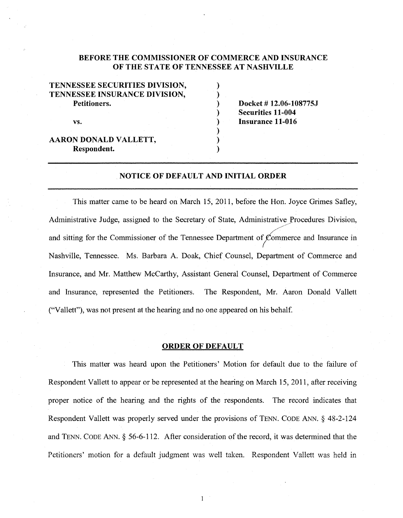# BEFORE THE COMMISSIONER OF COMMERCE AND INSURANCE OF THE STATE OF TENNESSEE AT NASHVILLE

) ) ) ) ) ) ) )

| TENNESSEE SECURITIES DIVISION, |
|--------------------------------|
| TENNESSEE INSURANCE DIVISION,  |
| Petitioners.                   |
| VS.                            |
| AARON DONALD VALLETT,          |
| Respondent.                    |

Docket# 12.06-108775J Securities 11-004 Insurance 11-016

# NOTICE OF DEFAULT AND INITIAL ORDER

This matter came to be heard on March 15, 2011, before the Hon. Joyce Grimes Safley, Administrative Judge, assigned to the Secretary of State, Administrative Procedures Division, and sitting for the Commissioner of the Tennessee Department of  $\mathcal{L}_{\text{ommerce}}$  and Insurance in Nashville, Tennessee. Ms. Barbara A. Doak, Chief Counsel, Department of Commerce and Insurance, and Mr. Matthew McCarthy, Assistant General Counsel, Department of Commerce and Insurance, represented the Petitioners. The Respondent, Mr. Aaron Donald Vallett ("Vallett"), was not present at the hearing and no one appeared on his behalf.

### ORDER OF DEFAULT

This matter was heard upon the Petitioners' Motion for default due to the failure of Respondent Vallett to appear or be represented at the hearing on March 15, 2011, after receiving proper notice of the hearing and the rights of the respondents. The record indicates that Respondent Vallett was properly served under the provisions of TENN. CODE ANN. § 48-2-124 and TENN. CODE ANN.§ 56-6-112. After consideration of the record, it was determined that the Petitioners' motion for a default judgment was well taken. Respondent Vallett was held in

 $\mathbf{1}$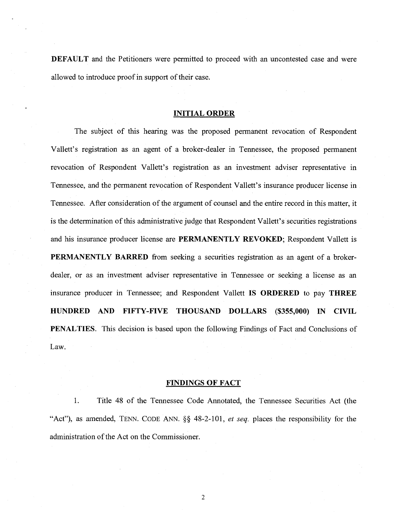**DEFAULT** and the Petitioners were permitted to proceed with an uncontested case and were allowed to introduce proof in support of their case.

### **INITIAL ORDER**

The subject of this hearing was the proposed permanent revocation of Respondent Vallett's registration as an agent of a broker-dealer in Tennessee, the proposed permanent revocation of Respondent Vallett's registration as an investment adviser representative in Tennessee, and the permanent revocation of Respondent Vallett's insurance producer license in Tennessee. After consideration of the argument of counsel and the entire record in this matter, it is the determination of this administrative judge that Respondent Vallett's securities registrations and his insurance producer license are **PERMANENTLY REVOKED;** Respondent Vallett is **PERMANENTLY BARRED** from seeking a securities registration as an agent of a brokerdealer, or as an investment adviser representative in Tennessee or seeking a license as an insurance producer in Tennessee; and Respondent Vallett **IS ORDERED** to pay **THREE HUNDRED AND FIFTY-FIVE THOUSAND DOLLARS (\$355,000) IN CIVIL PENALTIES.** This decision is based upon the following Findings of Fact and Conclusions of Law.

#### **FINDINGS OF FACT**

1. Title 48 of the Tennessee Code Annotated, the Tennessee Securities Act (the "Act"), as amended, TENN. CODE ANN. §§ 48-2-101, *et seq.* places the responsibility for the administration of the Act on the Commissioner.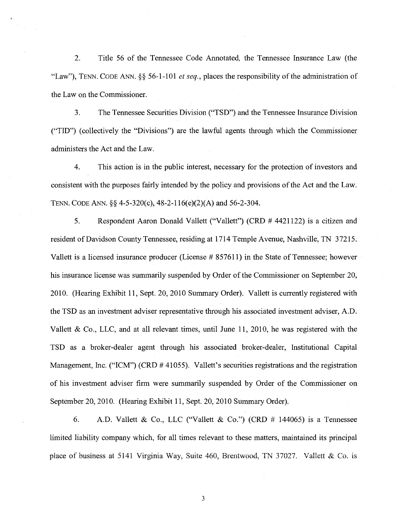2. Title 56 of the Tennessee Code Annotated, the Tennessee Insurance Law (the "Law"), TENN. CODE ANN. § § 56-1-1 01 *et seq.,* places the responsibility of the administration of the Law on the Commissioner.

3. The Tennessee Securities Division ("TSD") and the Tennessee Insurance Division ("TID") (collectively the "Divisions") are the lawful agents through which the Commissioner administers the Act and the Law.

4. This action is in the public interest, necessary for the protection of investors and consistent with the purposes fairly intended by the policy and provisions of the Act and the Law. TENN. CODE ANN.§§ 4-5-320(c), 48-2-116(e)(2)(A) and 56-2-304.

5. Respondent Aaron Donald Vallett ("Vallett") (CRD # 4421122) is a citizen and resident of Davidson County Tennessee, residing at 1714 Temple Avenue, Nashville, TN 37215. Vallett is a licensed insurance producer (License # 857611) in the State of Tennessee; however his insurance license was summarily suspended by Order of the Commissioner on September 20, 2010. (Hearing Exhibit 11, Sept. 20, 2010 Summary Order). Vallett is currently registered with the TSD as an investment adviser representative through his associated investment adviser, A.D. Vallett & Co., LLC, and at all relevant times, until June 11, 2010, he was registered with the TSD as a broker-dealer agent through his associated broker-dealer, Institutional Capital Management, Inc. ("ICM") (CRD # 41055). Vallett's securities registrations and the registration of his investment adviser firm were summarily suspended by Order of the Commissioner on September 20, 2010. (Hearing Exhibit 11, Sept. 20, 2010 Summary Order).

6. A.D. Vallett & Co., LLC ("Vallett & Co.") (CRD  $\#$  144065) is a Tennessee limited liability company which, for all times relevant to these matters, maintained its principal place of business at 5141 Virginia Way, Suite 460, Brentwood, TN 37027. Vallett & Co. is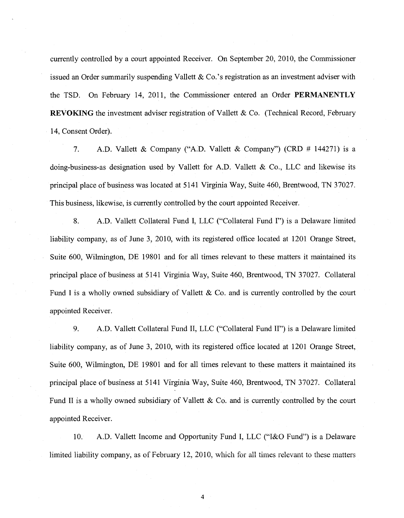currently controlled by a court appointed Receiver. On September 20, 2010, the Commissioner issued an Order summarily suspending Vallett & Co.'s registration as an investment adviser with the TSD. On February 14, 2011, the Commissioner entered an Order **PERMANENTLY REVOKING** the investment adviser registration of Vallett & Co. (Technical Record, February 14, Consent Order).

7. A.D. Vallett & Company ("A.D. Vallett & Company") (CRD # 144271) is a doing-business-as designation used by Vallett for A.D. Vallett & Co., LLC and likewise its principal place of business was located at 5141 Virginia Way, Suite 460, Brentwood, TN 37027. This business, likewise, is currently controlled by the court appointed Receiver.

8. A.D. Vallett Collateral Fund I, LLC ("Collateral Fund I") is a Delaware limited liability company, as of June 3, 2010, with its registered office located at 1201 Orange Street, Suite 600, Wilmington, DE 19801 and for all times relevant to these matters it maintained its principal place of business at 5141 Virginia Way, Suite 460, Brentwood, TN 37027. Collateral Fund I is a wholly owned subsidiary of Vallett & Co. and is currently controlled by the court appointed Receiver.

9. A.D. Vallett Collateral Fund II, LLC ("Collateral Fund II") is a Delaware limited liability company, as of June 3, 2010, with its registered office located at 1201 Orange Street, Suite 600, Wilmington, DE 19801 and for all times relevant to these matters it maintained its principal place ofbusiness at 5141 Virginia Way, Suite 460, Brentwood, TN 37027. Collateral Fund II is a wholly owned subsidiary of Vallett & Co. and is currently controlled by the court appointed Receiver.

10. A.D. Vallett Income and Opportunity Fund I, LLC ("I&O Fund") is a Delaware limited liability company, as of February 12, 2010, which for all times relevant to these matters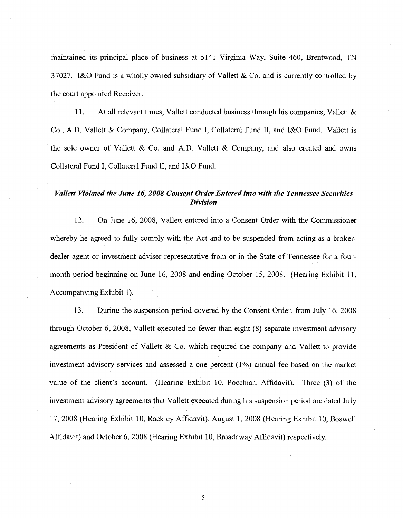maintained its principal place of business at 5141 Virginia Way, Suite 460, Brentwood, TN 37027. I&O Fund is a wholly owned subsidiary of Vallett & Co. and is currently controlled by the court appointed Receiver.

11. At all relevant times, Vallett conducted business through his companies, Vallett & Co., A.D. Vallett & Company, Collateral Fund I, Collateral Fund II, and I&O Fund. Vallett is the sole owner of Vallett & Co. and A.D. Vallett & Company, and also created and owns Collateral Fund I, Collateral Fund II, and I&O Fund.

# *Vallett Violated the June 16, 2008 Consent Order Entered into with the Tennessee Securities Division*

12. On June 16, 2008, Vallett entered into a Consent Order with the Commissioner whereby he agreed to fully comply with the Act and to be suspended from acting as a brokerdealer agent or investment adviser representative from or in the State of Tennessee for a fourmonth period beginning on June 16, 2008 and ending October 15, 2008. (Hearing Exhibit 11, Accompanying Exhibit 1).

13. During the suspension period covered by the Consent Order, from July 16, 2008 through October 6, 2008, Vallett executed no fewer than eight (8) separate investment advisory agreements as President of Vallett & Co. which required the company and Vallett to provide investment advisory services and assessed a one percent  $(1%)$  annual fee based on the market value of the client's account. (Hearing Exhibit 10, Pocchiari Affidavit). Three (3) of the investment advisory agreements that Vallett executed during his suspension period are dated July 17, 2008 (Hearing Exhibit 10, Rackley Affidavit), August 1, 2008 (Hearing Exhibit 10, Boswell Affidavit) and October 6, 2008 (Hearing Exhibit 10, Broadaway Affidavit) respectively.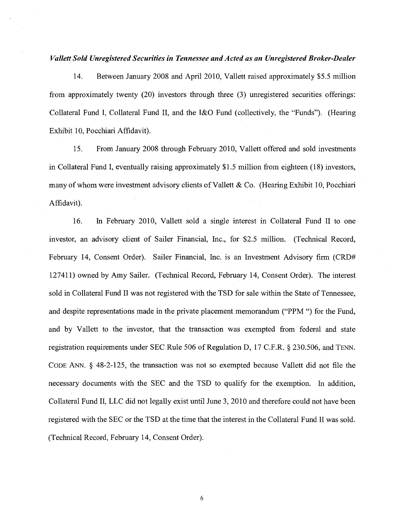# *Vallett Sold Unregistered Securities in Tennessee and Acted as an Unregistered Broker-Dealer*

14. Between January 2008 and April 2010, Vallett raised approximately \$5.5 million from approximately twenty (20) investors through three (3) unregistered securities offerings: Collateral Fund I, Collateral Fund II, and the I&O Fund (collectively, the "Funds"). (Hearing Exhibit 10, Pocchiari Affidavit).

15. From January 2008 through February 2010, Vallett offered and sold investments in Collateral Fund I, eventually raising approximately \$1.5 million from eighteen (18) investors, many of whom were investment advisory clients of Vallett & Co. (Hearing Exhibit 10, Pocchiari Affidavit).

16. In February 2010, Vallett sold a single interest in Collateral Fund II to one investor, an advisory client of Sailer Financial, Inc., for \$2.5 million. (Technical Record, February 14, Consent Order). Sailer Financial, Inc. is an Investment Advisory firm (CRD# 127411) owned by Amy Sailer. (Technical Record, February 14, Consent Order). The interest sold in Collateral Fund II was not registered with the TSD for sale within the State of Tennessee, and despite representations made in the private placement memorandum ("PPM ") for the Fund, and by Vallett to the investor, that the transaction was exempted from federal and state registration requirements under SEC Rule 506 of Regulation D, 17 C.F.R. § 230.506, and TENN. CODE ANN. § 48-2-125, the transaction was not so exempted because Vallett did not file the necessary documents with the SEC and the TSD to qualify for the exemption. In addition, Collateral Fund II, LLC did not legally exist until June 3, 2010 and therefore could not have been registered with the SEC or the TSD at the time that the interest in the Collateral Fund II was sold. (Technical Record, February 14, Consent Order).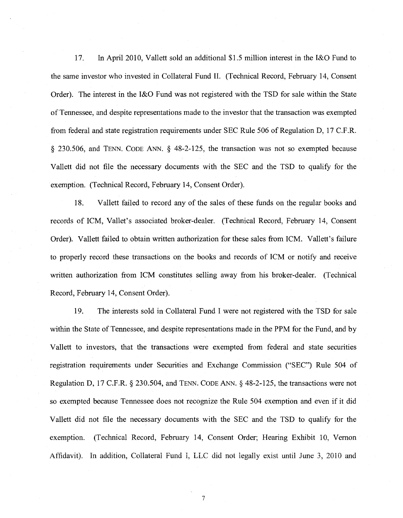17. In April 2010, Vallett sold an additional \$1.5 million interest in the I&O Fund to the same investor who invested in Collateral Fund II. (Technical Record, February 14, Consent Order). The interest in the I&O Fund was not registered with the TSD for sale within the State of Tennessee, and despite representations made to the investor that the transaction was exempted from federal and state registration requirements under SEC Rule 506 of Regulation D, 17 C.F.R. § 230.506, and TENN. CODE ANN. § 48-2-125, the transaction was not so exempted because Vallett did not file the necessary documents with the SEC and the TSD to qualify for the exemption. (Technical Record, February 14, Consent Order).

18. Vallett failed to record any of the sales of these funds on the regular books and records of ICM, Vallet's associated broker-dealer. (Technical Record, February 14, Consent Order). Vallett failed to obtain written authorization for these sales from ICM. Vallett's failure to properly record these transactions on the books and records of ICM or notify and receive written authorization from ICM constitutes selling away from his broker-dealer. (Technical Record, February 14, Consent Order).

19. The interests sold in Collateral Fund I were not registered with the TSD for sale within the State of Tennessee, and despite representations made in the PPM for the Fund, and by Vallett to investors, that the transactions were exempted from federal and state securities registration requirements under Securities and Exchange Commission ("SEC") Rule 504 of Regulation D, 17 C.F.R. § 230.504, and TENN. CODE ANN. § 48-2-125, the transactions were not so exempted because Tennessee does not recognize the Rule 504 exemption and even if it did Vallett did not file the necessary documents with the SEC and the TSD to qualify for the exemption. (Technical Record, February 14, Consent Order; Hearing Exhibit 10, Vernon Affidavit). In addition, Coliateral Fund I, LLC did not legally exist until June 3, 2010 and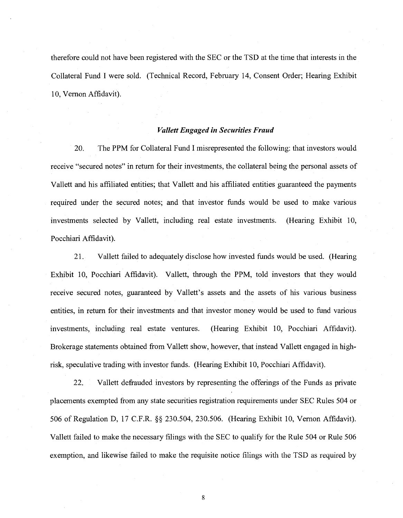therefore could not have been registered with the SEC or the TSD at the time that interests in the Collateral Fund I were sold. (Technical Record, February 14, Consent Order; Hearing Exhibit 10, Vernon Affidavit).

# *Vallett Engaged in Securities Fraud*

20. The PPM for Collateral Fund I misrepresented the following: that investors would receive "secured notes" in return for their investments, the collateral being the personal assets of Vallett and his affiliated entities; that Vallett and his affiliated entities guaranteed the payments required under the secured notes; and that investor funds would be used to make various investments selected by Vallett, including real estate investments. (Hearing Exhibit 10, Pocchiari Affidavit).

21. Vallett failed to adequately disclose how invested funds would be used. (Hearing Exhibit 10, Pocchiari Affidavit). Vallett, through the PPM, told investors that they would receive secured notes, guaranteed by Vallett's assets and the assets of his various business entities, in return for their investments and that investor money would be used to fund various investments, including real estate ventures. (Hearing Exhibit 10, Pocchiari Affidavit). Brokerage statements obtained from Vallett show, however, that instead Vallett engaged in highrisk, speculative trading with investor funds. (Hearing Exhibit 10, Pocchiari Affidavit).

22. Vallett defrauded investors by representing the offerings of the Funds as private placements exempted from any state securities registration requirements under SEC Rules 504 or 506 of Regulation D, 17 C.F.R. §§ 230.504, 230.506. (Hearing Exhibit 10, Vernon Affidavit). Vallett failed to make the necessary filings with the SEC to qualify for the Rule 504 or Rule 506 exemption, and likewise failed to make the requisite notice filings with the TSD as required by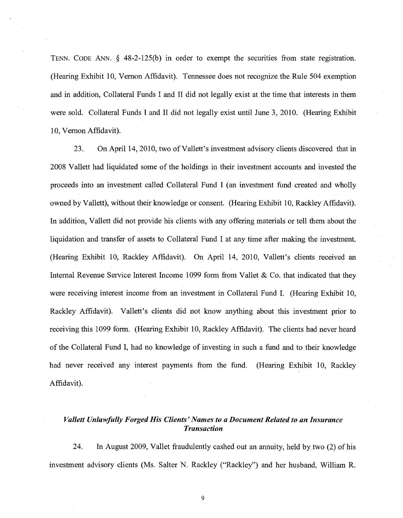TENN. CODE ANN. § 48-2-125(b) in order to exempt the securities from state registration. (Hearing Exhibit 10, Vernon Affidavit). Tennessee does not recognize the Rule 504 exemption and in addition, Collateral Funds I and II did not legally exist at the time that interests in them were sold. Collateral Funds I and II did not legally exist until June 3, 2010. (Hearing Exhibit 10. Vernon Affidavit).

23. On April 14, 2010, two of Vallett's investment advisory clients discovered that in 2008 Vallett had liquidated some of the holdings in their investment accounts and invested the proceeds into an investment called Collateral Fund I (an investment fund created and wholly owned by Vallett), without their knowledge or consent. (Hearing Exhibit 10, Rackley Affidavit). In addition, Vallett did not provide his clients with any offering materials or tell them about the liquidation and transfer of assets to Collateral Fund I at any time after making the investment. (Hearing Exhibit 10, Rackley Affidavit). On April 14, 2010, Vallett's clients received an Internal Revenue Service Interest Income 1099 form from Vallet & Co. that indicated that they were receiving interest income from an investment in Collateral Fund I. (Hearing Exhibit 10, Rackley Affidavit). Vallett's clients did not know anything about this investment prior to receiving this 1099 form. (Hearing Exhibit 10, Rackley Affidavit). The clients had never heard of the Collateral Fund I, had no knowledge of investing in such a fund and to their knowledge had never received any interest payments from the fund. (Hearing Exhibit 10, Rackley Affidavit).

# *Vallett Unlawfully Forged His Clients' Names to a Document Related to an Insurance Transaction*

24. In August 2009, Vallet fraudulently cashed out an annuity, held by two (2) of his investment advisory clients (Ms. Salter N. Rackley ("Rackley") and her husband, William R.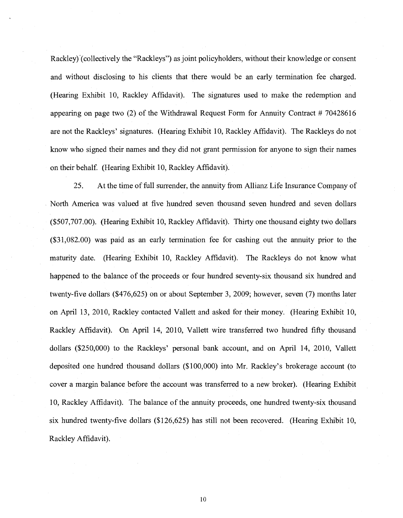Rackley)'(collectively the "Rackleys") as joint policyholders, without their knowledge or consent and without disclosing to his clients that there would be an early termination fee charged. (Hearing Exhibit 10, Rackley Affidavit). The signatures used to make the redemption and appearing on page two  $(2)$  of the Withdrawal Request Form for Annuity Contract # 70428616 are not the Rackleys' signatures. (Hearing Exhibit 10, Rackley Affidavit). The Rackleys do not know who signed their names and they did not grant permission for anyone to sign their names on their behalf. (Hearing Exhibit 10, Rackley Affidavit).

25. At the time of full surrender, the annuity from Allianz Life Insurance Company of North America was valued at five hundred seven thousand seven hundred and seven dollars (\$507,707.00). (Hearing Exhibit 10, Rackley Affidavit). Thirty one thousand eighty two dollars (\$31,082.00) was paid as an early termination fee for cashing out the annuity prior to the maturity date. (Hearing Exhibit 10, Rackley Affidavit). The Rackleys do not know what happened to the balance of the proceeds or four hundred seventy-six thousand six hundred and twenty-five dollars (\$476,625) on or about September 3, 2009; however, seven (7) months later on April 13, 2010, Rackley contacted Vallett and asked for their money. (Hearing Exhibit 10, Rackley Affidavit). On April 14, 2010, Vallett wire transferred two hundred fifty thousand dollars (\$250,000) to the Rackleys' personal bank account, and on April 14, 2010, Vallett deposited one hundred thousand dollars (\$100,000) into Mr. Rackley's brokerage account (to cover a margin balance before the account was transferred to a new broker). (Hearing Exhibit 10, Rackley Affidavit). The balance of the annuity proceeds, one hundred twenty-six thousand six hundred twenty-five dollars (\$126,625) has still not been recovered. (Hearing Exhibit 10, Rackley Affidavit).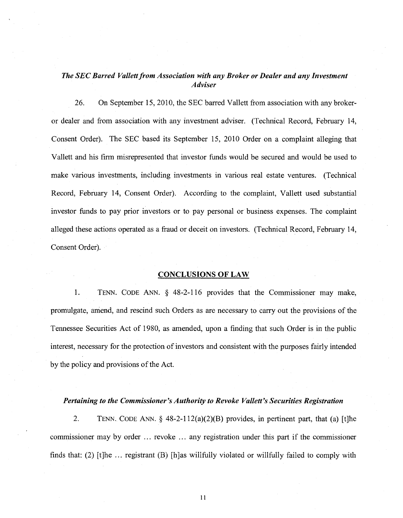# *The SEC Barred Vallett from Association with any Broker or Dealer and any Investment Adviser*

26. On September 15, 2010, the SEC barred Vallett from association with any brokeror dealer and from association with any investment adviser. (Technical Record, February 14, Consent Order). The SEC based its September 15, 2010 Order on a complaint alleging that Vallett and his firm misrepresented that investor funds would be secured and would be used to make various investments, including investments in various real estate ventures. (Technical Record, February 14, Consent Order). According to the complaint, Vallett used substantial investor funds to pay prior investors or to pay personal or business expenses. The complaint alleged these actions operated as a fraud or deceit on investors. (Technical Record, February 14, Consent Order).

### CONCLUSIONS OF LAW

1. TENN. CODE ANN. § 48-2-116 provides that the Commissioner may make, promulgate, amend, and rescind such Orders as are necessary to carry out the provisions of the Tennessee Securities Act of 1980, as amended, upon a finding that such Order is in the public interest, necessary for the protection of investors and consistent with the purposes fairly intended by the policy and provisions of the Act.

### *Pertaining to the Commissioner's Authority to Revoke Vallett's Securities Registration*

2. TENN. CODE ANN.  $\S$  48-2-112(a)(2)(B) provides, in pertinent part, that (a) [t]he commissioner may by order ... revoke . . . any registration under this part if the commissioner finds that: (2) [t]he  $\ldots$  registrant (B) [h]as willfully violated or willfully failed to comply with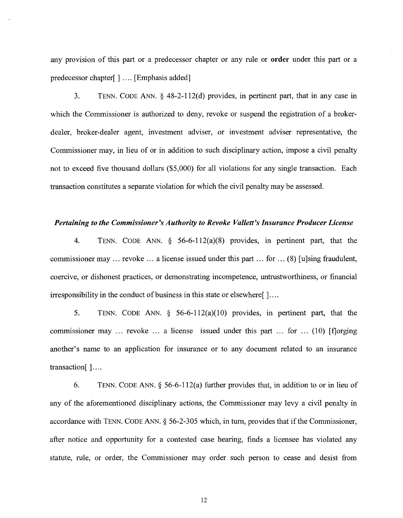any provision of this part or a predecessor chapter or any rule or order under this part or a predecessor chapter[] .... [Emphasis added]

3. TENN. CODE ANN. § 48-2-112(d) provides, in pertinent part, that in any case in which the Commissioner is authorized to deny, revoke or suspend the registration of a brokerdealer, broker-dealer agent, investment adviser, or investment adviser representative, the Commissioner may, in lieu of or in addition to such disciplinary action, impose a civil penalty not to exceed five thousand dollars (\$5,000) for all violations for any single transaction. Each transaction constitutes a separate violation for which the civil penalty may be assessed.

### *Pertaining to the Commissioner's Authority to Revoke Vallett's Insurance Producer License*

4. TENN. CODE ANN. § 56-6-112(a)(8) provides, in pertinent part, that the commissioner may ... revoke ... a license issued under this part ... for ... (8) [u]sing fraudulent, coercive, or dishonest practices, or demonstrating incompetence, untrustworthiness, or financial irresponsibility in the conduct of business in this state or elsewhere [ $] \ldots$ ]

5. TENN. CODE ANN. § 56-6-112(a)(10) provides, in pertinent part, that the commissioner may ... revoke ... a license issued under this part ... for ... (10) [f]orging another's name to an application for insurance or to any document related to an insurance transaction[ ]....

6. TENN. CODE ANN.§ 56-6-112(a) further provides that, in addition to or in lieu of any of the aforementioned disciplinary actions, the Commissioner may levy a civil penalty in accordance with TENN. CODE ANN.§ 56-2-305 which, in tum, provides that if the Commissioner, after notice and opportunity for a contested case hearing, finds a licensee has violated any statute, rule, or order, the Commissioner may order such person to cease and desist from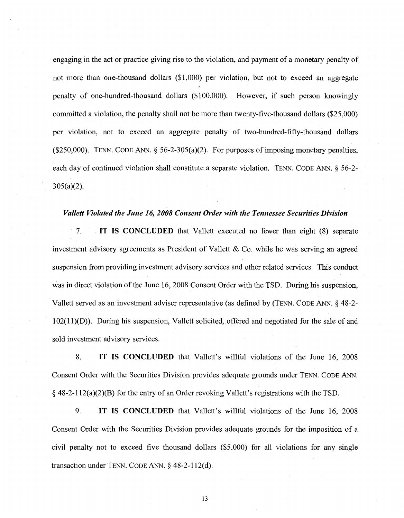engaging in the act or practice giving rise to the violation, and payment of a monetary penalty of not more than one-thousand dollars (\$1 ,000) per violation, but not to exceed an aggregate penalty of one-hundred-thousand dollars (\$1 00,000). However, if such person knowingly committed a violation, the penalty shall not be more than twenty-five-thousand dollars (\$25,000) per violation, not to exceed an aggregate penalty of two-hundred-fifty-thousand dollars (\$250,000). TENN. CODE ANN.  $\S$  56-2-305(a)(2). For purposes of imposing monetary penalties, each day of continued violation shall constitute a separate violation. TENN. CODE ANN. § 56-2- 305(a)(2).

# *Vallett Violated the June 16, 2008 Consent Order with the Tennessee Securities Division*

7. · IT IS CONCLUDED that Vallett executed no fewer than eight (8) separate investment advisory agreements as President of Vallett  $\&$  Co. while he was serving an agreed suspension from providing investment advisory services and other related services. This conduct was in direct violation of the June 16, 2008 Consent Order with the TSD. During his suspension, Vallett served as an investment adviser representative (as defined by (TENN. CODE ANN.§ 48-2- 102(11)(D)). During his suspension, Vallett solicited, offered and negotiated for the sale of and sold investment advisory services.

8. IT IS CONCLUDED that Vallett's willful violations of the June 16, 2008 Consent Order with the Securities Division provides adequate grounds under TENN. CODE ANN. § 48-2-112(a)(2)(B) for the entry of an Order revoking Vallett's registrations with the TSD.

9. IT IS CONCLUDED that Vallett's willful violations of the June 16, 2008 Consent Order with the Securities Division provides adequate grounds for the imposition of a civil penalty not to exceed five thousand dollars (\$5,000) for all violations for any single transaction under TENN. CODE ANN.§ 48-2-112(d).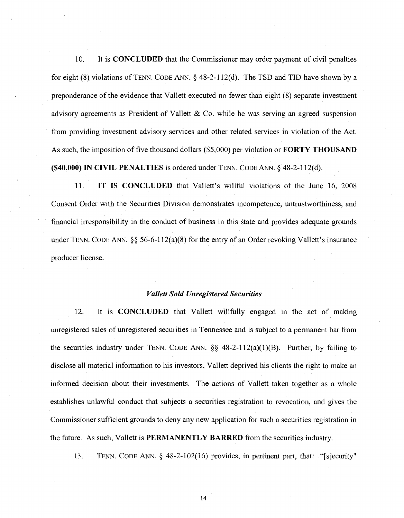10. It is CONCLUDED that the Commissioner may order payment of civil penalties for eight (8) violations of TENN. CODE ANN.§ 48-2-112(d). The TSD and TID have shown by a preponderance of the evidence that Vallett executed no fewer than eight (8) separate investment advisory agreements as President of Vallett & Co. while he was serving an agreed suspension from providing investment advisory services and other related services in violation of the Act. As such, the imposition of five thousand dollars (\$5,000) per violation or FORTY THOUSAND  $($ \$40,000) IN CIVIL PENALTIES is ordered under TENN. CODE ANN.  $\delta$  48-2-112(d).

11. IT IS CONCLUDED that Vallett's willful violations of the June 16, 2008 Consent Order with the Securities Division demonstrates incompetence, untrustworthiness, and financial irresponsibility in the conduct of business in this state and provides adequate grounds under TENN. CODE ANN.  $\S\S 56-6-112(a)(8)$  for the entry of an Order revoking Vallett's insurance producer license.

## *Vallett Sold Unregistered Securities*

12. It is **CONCLUDED** that Vallett willfully engaged in the act of making unregistered sales of unregistered securities in Tennessee and is subject to a permanent bar from the securities industry under TENN. CODE ANN.  $\S$ § 48-2-112(a)(1)(B). Further, by failing to disclose all material information to his investors, Vallett deprived his clients the right to make an informed decision about their investments. The actions of Vallett taken together as a whole establishes unlawful conduct that subjects a securities registration to revocation, and gives the Commissioner sufficient grounds to deny any new application for such a securities registration in the future. As such, Vallett is PERMANENTLY BARRED from the securities industry.

i3. TENN. CODE ANN. § 48-2-102(16) provides, in pertinent part, that: "[s]ecurity"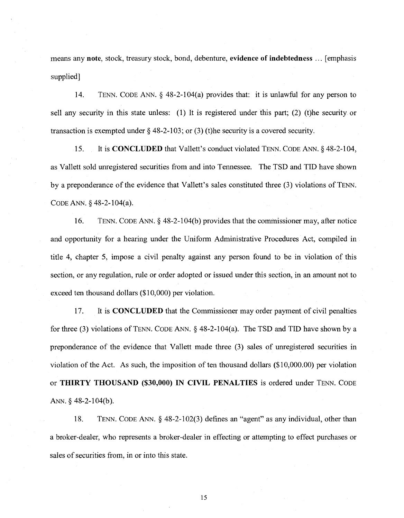means any note, stock, treasury stock, bond, debenture, evidence of indebtedness ... [emphasis supplied]

14. TENN. CODE ANN.§ 48-2-104(a) provides that: it is unlawful for any person to sell any security in this state unless: (1) It is registered under this part; (2) (t)he security or transaction is exempted under  $\S$  48-2-103; or (3) (t)he security is a covered security.

15. It is CONCLUDED that Vallett's conduct violated TENN. CODE ANN.§ 48-2-104, as Vallett sold umegistered securities from and into Tennessee. The TSD and TID have shown by a preponderance of the evidence that Vallett's sales constituted three (3) violations of TENN. CODE ANN.§ 48-2-104(a).

16. TENN. CODE ANN.§ 48-2-104(b) provides that the commissioner may, after notice and opportunity for a hearing under the Uniform Administrative Procedures Act, compiled in title 4, chapter 5, impose a civil penalty against any person found to be in violation of this section, or any regulation, rule or order adopted or issued under this section, in an amount not to exceed ten thousand dollars (\$10,000) per violation.

17. It is CONCLUDED that the Commissioner may order payment of civil penalties for three (3) violations of TENN. CODE ANN.  $\S$  48-2-104(a). The TSD and TID have shown by a preponderance of the evidence that Vallett made three (3) sales of umegistered securities in violation of the Act. As such, the imposition of ten thousand dollars (\$1 0,000.00) per violation or THIRTY THOUSAND (\$30,000) IN CIVIL PENALTIES is ordered under TENN. CODE ANN.  $§$  48-2-104(b).

18. TENN. CODE ANN. § 48-2-102(3) defines an "agent" as any individual, other than a broker-dealer, who represents a broker-dealer in effecting or attempting to effect purchases or saies of securities from, in or into this state.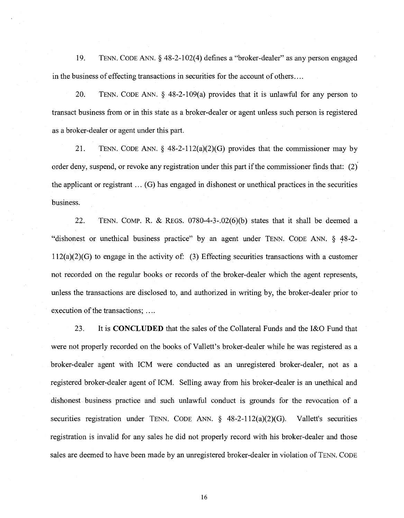19. TENN. CODE ANN.§ 48-2-102(4) defines a "broker-dealer" as any person engaged in the business of effecting transactions in securities for the account of others ....

20. TENN. CODE ANN. § 48-2-109(a) provides that it is unlawful for any person to transact business from or in this state as a broker-dealer or agent unless such person is registered as a broker-dealer or agent under this part.

21. TENN. CODE ANN.  $\&$  48-2-112(a)(2)(G) provides that the commissioner may by order deny, suspend, or revoke any registration under this part if the commissioner finds that: (2), the applicant or registrant ... (G) has engaged in dishonest or unethical practices in the securities business.

22. TENN. COMP. R. & REGS. 0780-4-3-.02(6)(b) states that it shall be deemed a "dishonest or unethical business practice" by an agent under TENN. CODE ANN. § 48-2- 112(a)(2)(G) to engage in the activity of: (3) Effecting securities transactions with a customer not recorded on the regular books or records of the broker-dealer which the agent represents, unless the transactions are disclosed to, and authorized in writing by, the broker-dealer prior to execution of the transactions; ....

23. It is **CONCLUDED** that the sales of the Collateral Funds and the I&O Fund that were not properly recorded on the books of Vallett's broker-dealer while he was registered as a broker-dealer agent with ICM were conducted as an unregistered broker-dealer, not as a registered broker-dealer agent of ICM. Selling away from his broker-dealer is an unethical and dishonest business practice and such unlawful conduct is grounds for the revocation of a securities registration under TENN. CODE ANN.  $\S$  48-2-112(a)(2)(G). Vallett's securities registration is invalid for any sales he did not properly record with his broker-dealer and those sales are deemed to have been made by an unregistered broker-dealer in violation of TENN. CODE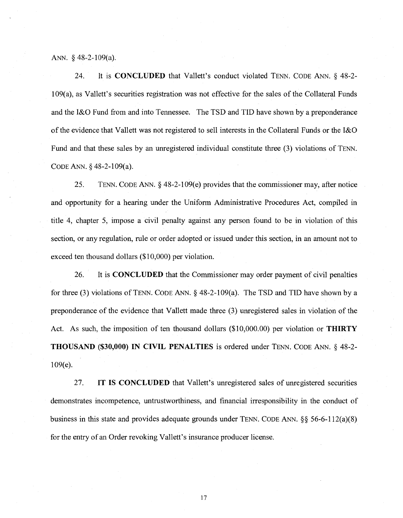### ANN. § 48-2-109(a).

24. It is **CONCLUDED** that Vallett's conduct violated TENN. CODE ANN. § 48-2- 109(a), as Vallett's securities registration was not effective for the sales of the Collateral Funds and the I&O Fund from and into Tennessee. The TSD and TID have shown by a preponderance of the evidence that V allett was not registered to sell interests in the Collateral Funds or the I&O Fund and that these sales by an unregistered individual constitute three (3) violations of TENN. CODE ANN.§ 48-2-109(a).

25. TENN. CODE ANN.§ 48-2-109(e) provides that the commissioner may, after notice and opportunity for a hearing under the Uniform Administrative Procedures Act, compiled in title 4, chapter 5, impose a civil penalty against any person found to be in violation of this section, or any regulation, rule or order adopted or issued under this section, in an amount not to exceed ten thousand dollars (\$10,000) per violation.

26. It is **CONCLUDED** that the Commissioner may order payment of civil penalties for three (3) violations of TENN. CODE ANN. § 48-2-109(a). The TSD and TID have shown by a preponderance of the evidence that Vallett made three (3) unregistered sales in violation of the Act. As such, the imposition of ten thousand dollars (\$10,000.00) per violation or **THIRTY THOUSAND (\$30,000) IN CIVIL PENALTIES** is ordered under TENN. CODE ANN. § 48-2- 109(e).

27. **IT IS CONCLUDED** that Vallett's unregistered sales of unregistered securities demonstrates incompetence, untrustworthiness, and financial irresponsibility in the conduct of business in this state and provides adequate grounds under TENN. CODE ANN. §§ 56-6-112(a)(8) for the entry of an Order revoking Vallett's insurance producer license.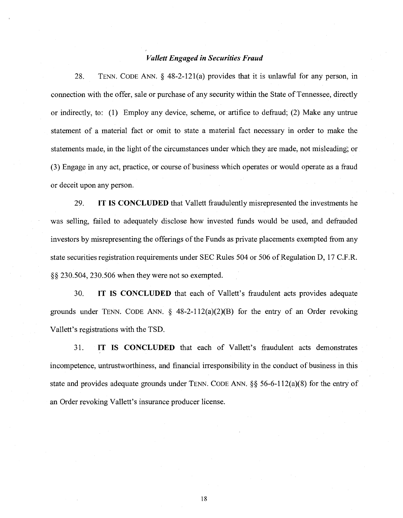# *Vallett Engaged in Securities Fraud*

28. TENN. CODE ANN. § 48-2-121(a) provides that it is unlawful for any person, in connection with the offer, sale or purchase of any security within the State of Tennessee, directly or indirectly, to: (1) Employ any device, scheme, or artifice to defraud; (2) Make any untrue statement of a material fact or omit to state a material fact necessary in order to make the statements made, in the light of the circumstances under which they are made, not misleading·; or (3) Engage in any act, practice, or course of business which operates or would operate as a fraud or deceit upon any person.

29. IT IS CONCLUDED that Vallett fraudulently misrepresented the investments he was selling, failed to adequately disclose how invested funds would be used, and defrauded investors by misrepresenting the offerings of the Funds as private placements exempted from any state securities registration requirements under SEC Rules 504 or 506 of Regulation D, 17 C.F.R. §§ 230.504, 230.506 when they were not so exempted.

30. IT IS CONCLUDED that each of Vallett's fraudulent acts provides adequate grounds under TENN. CODE ANN.  $\S$  48-2-112(a)(2)(B) for the entry of an Order revoking Vallett's registrations with the TSD.

31. IT IS CONCLUDED that each of Vallett's fraudulent acts demonstrates incompetence, untrustworthiness, and financial irresponsibility in the conduct of business in this state and provides adequate grounds under TENN. CODE ANN. §§ 56-6-112(a)(8) for the entry of an Order revoking Vallett's insurance producer license.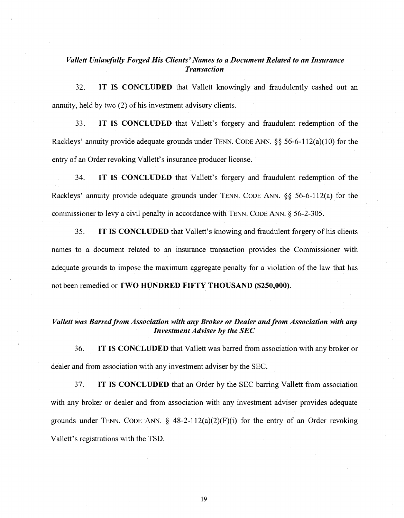# *Vallett Unlawfully Forged His Clients' Names to a Document Related to an Insurance Transaction*

32. IT IS CONCLUDED that Vallett knowingly and fraudulently cashed out an annuity, held by two (2) of his investment advisory clients.

33. IT IS CONCLUDED that Vallett's forgery and fraudulent redemption of the Rackleys' annuity provide adequate grounds under TENN. CODE ANN. §§ 56-6-112(a)(10) for the entry of an Order revoking Vallett's insurance producer license.

34. IT IS CONCLUDED that Vallett's forgery and fraudulent redemption of the Rackleys' annuity provide adequate grounds under TENN. CODE ANN. §§ 56-6-112(a) for the commissioner to levy a civil penalty in accordance with TENN. CODE ANN. § 56-2-305.

35. IT IS CONCLUDED that Vallett's knowing and fraudulent forgery ofhis clients names to a document related to an insurance transaction provides the Commissioner with adequate grounds to impose the maximum aggregate penalty for a violation of the law that has not been remedied or TWO HUNDRED FIFTY THOUSAND (\$250,000).

# *Vallett was Barred from Association with any Broker or Dealer and from Association with any Investment Adviser by the SEC*

36. IT IS CONCLUDED that Vallett was barred from association with any broker or dealer and from association with any investment adviser by the SEC.

37. IT IS CONCLUDED that an Order by the SEC barring Vallett from association with any broker or dealer and from association with any investment adviser provides adequate grounds under TENN. CODE ANN.  $\S$  48-2-112(a)(2)(F)(i) for the entry of an Order revoking Vallett's registrations with the TSD.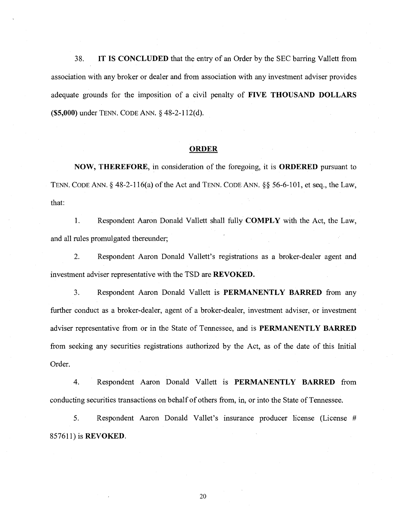38. IT IS **CONCLUDED** that the entry of an Order by the SEC barring Vallett from association with any broker or dealer and from association with any investment adviser provides adequate grounds for the imposition of a civil penalty of **FIVE THOUSAND DOLLARS (\$5,000)** under TENN. CODE ANN. § 48-2-112(d).

### **ORDER**

**NOW, THEREFORE,** in consideration of the foregoing, it is **ORDERED** pursuant to TENN. CODE ANN.§ 48-2-116(a) of the Act and TENN. CODE ANN.§§ 56-6-101, et seq., the Law, that:

1. Respondent Aaron Donald Vallett shall fully **COMPLY** with the Act, the Law, and all rules promulgated thereunder;

2. Respondent Aaron Donald Vallett's registrations as a broker-dealer agent and investment adviser representative with the TSD are **REVOKED.** 

3. Respondent Aaron Donald Vallett is **PERMANENTLY BARRED** from any further conduct as a broker-dealer, agent of a broker-dealer, investment adviser, or investment adviser representative from or in the State of Tennessee, and is **PERMANENTLY BARRED**  from seeking any securities registrations authorized by the Act, as of the date of this Initial Order.

4. Respondent Aaron Donald Vallett is **PERMANENTLY BARRED** from conducting securities transactions on behalf of others from, in, or into the State of Tennessee.

5. Respondent Aaron Donald Vallet's insurance producer license (License # 857611) is **REVOKED.**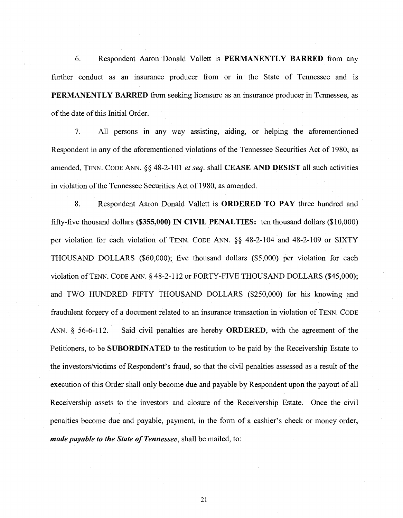6. Respondent Aaron Donald Vallett is PERMANENTLY BARRED from any further conduct as an insurance producer from or in the State of Tennessee and is PERMANENTLY BARRED from seeking licensure as an insurance producer in Tennessee, as of the date of this Initial Order.

7. All persons in any way assisting, aiding, or helping the aforementioned Respondent in any of the aforementioned violations of the Tennessee Securities Act of 1980, as amended, TENN. CODE ANN.§§ 48-2-101 *et seq.* shall CEASE AND DESIST all such activities in violation of the Tennessee Securities Act of 1980, as amended.

8. Respondent Aaron Donald Vallett is **ORDERED TO PAY** three hundred and fifty-five thousand dollars (\$355,000) IN CIVIL PENALTIES: ten thousand dollars (\$10,000) per violation for each violation of TENN. CODE ANN. §§ 48-2-104 and 48-2-109 or SIXTY THOUSAND DOLLARS (\$60,000); five thousand dollars (\$5,000) per violation for each violation ofTENN. CODE ANN.§ 48-2-112 or FORTY-FIVE THOUSAND DOLLARS (\$45,000); and TWO HUNDRED FIFTY THOUSAND DOLLARS (\$250,000) for his knowing and fraudulent forgery of a document related to an insurance transaction in violation of TENN. CODE ANN.  $\S$  56-6-112. Said civil penalties are hereby **ORDERED**, with the agreement of the Petitioners, to be SUBORDINATED to the restitution to be paid by the Receivership Estate to the investors/victims of Respondent's fraud, so that the civil penalties assessed as a result of the execution of this Order shall only become due and payable by Respondent upon the payout of all Receivership assets to the investors and closure of the Receivership Estate. Once the civil penalties become due and payable, payment, in the form of a cashier's check or money order, *made payable to the State of Tennessee,* shall be mailed, to: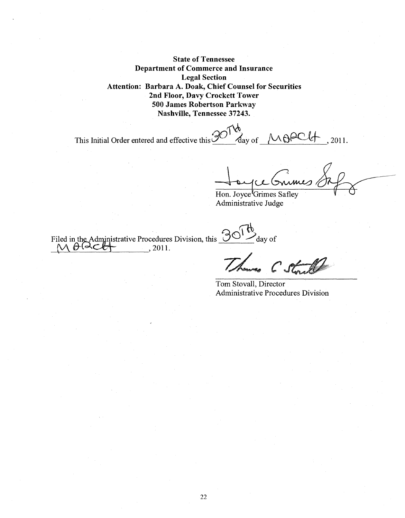State of Tennessee Department of Commerce and Insurance Legal Section Attention: Barbara A. Doak, Chief Counsel for Securities 2nd Floor, Davy Crockett Tower 500 James Robertson Parkway Nashville, Tennessee 37243.

This Initial Order entered and effective this  $\frac{\partial O^{\dagger}}{\partial \alpha y}$  of  $\sqrt{10}$   $\theta$   $\text{C}$   $\theta$ , 2011.

Houpe Grimes 81 pm

Administrative Judge

Filed in the Administrative Procedures Division, this  $\partial O^{Tb}$  day of ded in the Administrative Procedures<br>
M <del>0 Q C M</del> \_\_\_\_\_\_\_\_, 2011.

 $C$ 

Tom Stovall, Director Administrative Procedures Division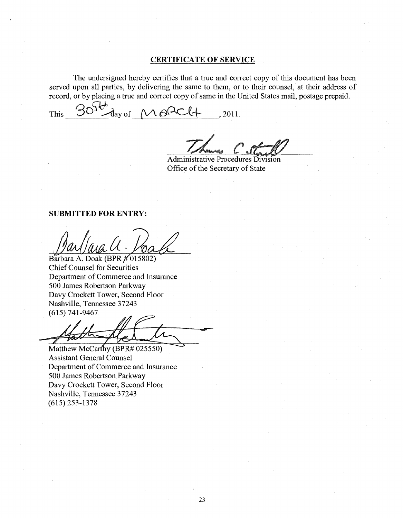### **CERTIFICATE OF SERVICE**

The undersigned hereby certifies that a true and correct copy of this document has been served upon all parties, by delivering the same to them, or to their counsel, at their address of

record, or by placing a true and correct copy of same in the United States mail, postage prepaid.<br>This <u>30<sup>50</sup></u> day of <u>MOCC+</u>, 2011.

Administrative Procedures Division Office of the Secretary of State

### **SUBMITTED FOR ENTRY:**

Barbara A. Doak (BPR  $\#$ 015802) Chief Counsel for Securities Department of Commerce and Insurance 500 James Robertson Parkway Davy Crockett Tower, Second Floor Nashville, Tennessee 37243 (615) 741-9467 May M. M. Molecular<br>Sarbara A. Doak (BPR # 015802)<br>Chief Counsel for Securities<br>Department of Commerce and Insurance<br>00 James Robertson Parkway<br>Jashville, Tennessee 37243<br>615) 741-9467<br>Addression Carrily (BPR# 025550)<br>Sass

Matthew McCarthy (BPR# 025550) Assistant General Counsel Department of Commerce and Insurance 500 James Robertson Parkway Davy Crockett Tower, Second Floor Nashville, Tennessee 37243 (615) 253-1378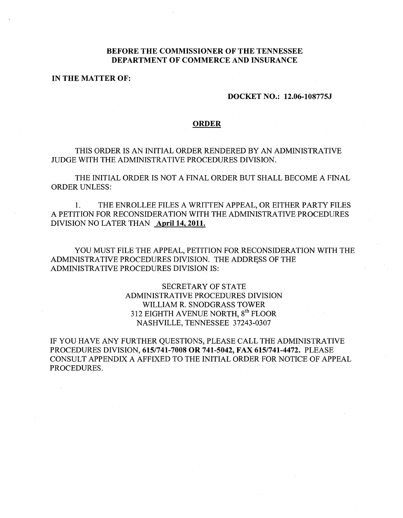# **BEFORE THE COMMISSIONER OF THE TENNESSEE DEPARTMENT OF COMMERCE AND INSURANCE**

# **IN THE MATTER OF:**

### **DOCKET NO.: 12.06-108775J**

#### **ORDER**

THIS ORDER IS AN INITIAL ORDER RENDERED BY AN ADMINISTRATIVE JUDGE WITH THE ADMINISTRATIVE PROCEDURES DIVISION.

THE INITIAL ORDER IS NOT A FINAL ORDER BUT SHALL BECOME A FINAL ORDER UNLESS:

1. THE ENROLLEE FILES A WRITTEN APPEAL, OR EITHER PARTY FILES A PETITION FOR RECONSIDERATION WITH THE ADMINISTRATIVE PROCEDURES DIVISION NO LATER THAN **April14, 2011.** 

YOU MUST FILE THE APPEAL, PETITION FOR RECONSIDERATION WITH THE ADMINISTRATIVE PROCEDURES DIVISION. THE ADDRESS OF THE ADMINISTRATIVE PROCEDURES DIVISION IS:

> SECRETARY OF STATE ADMINISTRATIVE PROCEDURES DIVISION WILLIAM R. SNODGRASS TOWER 312 EIGHTH AVENUE NORTH, 8<sup>th</sup> FLOOR NASHVILLE, TENNESSEE 37243-0307

IF YOU HAVE ANY FURTHER QUESTIONS, PLEASE CALL THE ADMINISTRATIVE PROCEDURES DIVISION, **615/741-7008 OR 741-5042, FAX 615/741-4472.** PLEASE CONSULT APPENDIX A AFFIXED TO THE INITIAL ORDER FOR NOTICE OF APPEAL PROCEDURES.